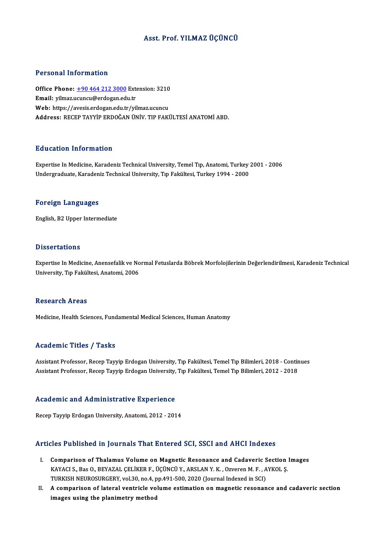#### Asst. Prof. YILMAZ ÜÇÜNCÜ

#### Personal Information

Personal Information<br>Office Phone: <u>+90 464 212 3000</u> Extension: 3210<br>Email: vilmas usunsu@ardosan.edu.tr Procedular Machinesian<br>Office Phone: <u>+90 464 212 3000</u> Externall: yilmaz.u[cuncu@erdogan.ed](tel:+90 464 212 3000)u.tr Office Phone: <u>+90 464 212 3000</u> Extension: 3210<br>Email: yilmaz.ucuncu@erdogan.edu.tr<br>Web: https://avesis.erdogan.edu.tr/yilmaz.ucuncu<br>Address. BECER TAYVIR ERDOČAN ÜNİV. TIR EAKİ Email: yilmaz.ucuncu@erdogan.edu.tr<br>Web: https://avesis.erdogan.edu.tr/yilmaz.ucuncu<br>Address: RECEP TAYYİP ERDOĞAN ÜNİV. TIP FAKÜLTESİ ANATOMİ ABD.

#### Education Information

Education Information<br>Expertise In Medicine, Karadeniz Technical University, Temel Tıp, Anatomi, Turkey 2001 - 2006<br>Undergraduate Karadeniz Technical University, Tıp Fekültesi, Turkey 1994 - 2000 Luususeen IIII of Inderon<br>Expertise In Medicine, Karadeniz Technical University, Temel Tıp, Anatomi, Turkey<br>Undergraduate, Karadeniz Technical University, Tıp Fakültesi, Turkey 1994 - 2000 Undergraduate, Karadeniz Technical University, Tıp Fakültesi, Turkey 1994 - 2000<br>Foreign Languages

English,B2Upper Intermediate

#### **Dissertations**

Dissertations<br>Expertise In Medicine, Anensefalik ve Normal Fetuslarda Böbrek Morfolojilerinin Değerlendirilmesi, Karadeniz Technical<br>University Tın Fekültesi, Anatemi, 2006 Bassea tatrome<br>Expertise In Medicine, Anensefalik ve No<br>University, Tıp Fakültesi, Anatomi, 2006 University, Tıp Fakültesi, Anatomi, 2006<br>Research Areas

Medicine, Health Sciences, Fundamental Medical Sciences, Human Anatomy

#### Academic Titles / Tasks

Academic Titles / Tasks<br>Assistant Professor, Recep Tayyip Erdogan University, Tıp Fakültesi, Temel Tıp Bilimleri, 2018 - Continues<br>Assistant Professor, Recep Tayyip Erdogan University, Tıp Fakültesi, Temel Tıp Bilimleri, 2 110au Chric 110105 y 11031.<br>Assistant Professor, Recep Tayyip Erdogan University, Tıp Fakültesi, Temel Tıp Bilimleri, 2018 - Contir<br>Assistant Professor, Recep Tayyip Erdogan University, Tıp Fakültesi, Temel Tıp Bilimleri,

## Assistant Professor, Recep Tayyip Erdogan University,<br>Academic and Administrative Experience A<mark>cademic and Administrative Experience</mark><br>Recep Tayyip Erdogan University, Anatomi, 2012 - 2014

## Recep Tayyip Erdogan University, Anatomi, 2012 - 2014<br>Articles Published in Journals That Entered SCI, SSCI and AHCI Indexes

- Tricles Published in Journals That Entered SCI, SSCI and AHCI Indexes<br>I. Comparison of Thalamus Volume on Magnetic Resonance and Cadaveric Section Images<br>KAVACLS, Bes O. BEVAZAL CELIVED E. UCUNCU V. ARSLAN V. K. Owgaren M. KES TUSHENEG IN JOUTHUIS THE EINEN OU SOL, SOOT UND THE THOT HEREES<br>Comparison of Thalamus Volume on Magnetic Resonance and Cadaveric Section<br>KAYACI S., Bas O., BEYAZAL ÇELİKER F., ÜÇÜNCÜ Y., ARSLAN Y. K. , Ozveren M. F. , Comparison of Thalamus Volume on Magnetic Resonance and Cadaveric S<br>KAYACI S., Bas O., BEYAZAL ÇELİKER F., ÜÇÜNCÜ Y., ARSLAN Y. K. , Ozveren M. F. , A<br>TURKISH NEUROSURGERY, vol.30, no.4, pp.491-500, 2020 (Journal Indexed i KAYACI S., Bas O., BEYAZAL ÇELİKER F., ÜÇÜNCÜ Y., ARSLAN Y. K. , Ozveren M. F. , AYKOL Ş.<br>TURKISH NEUROSURGERY, vol.30, no.4, pp.491-500, 2020 (Journal Indexed in SCI)<br>II. A comparison of lateral ventricle volume estim
- TURKISH NEUROSURGERY, vol.30, no.4, p<br>A comparison of lateral ventricle vo<br>images using the planimetry method